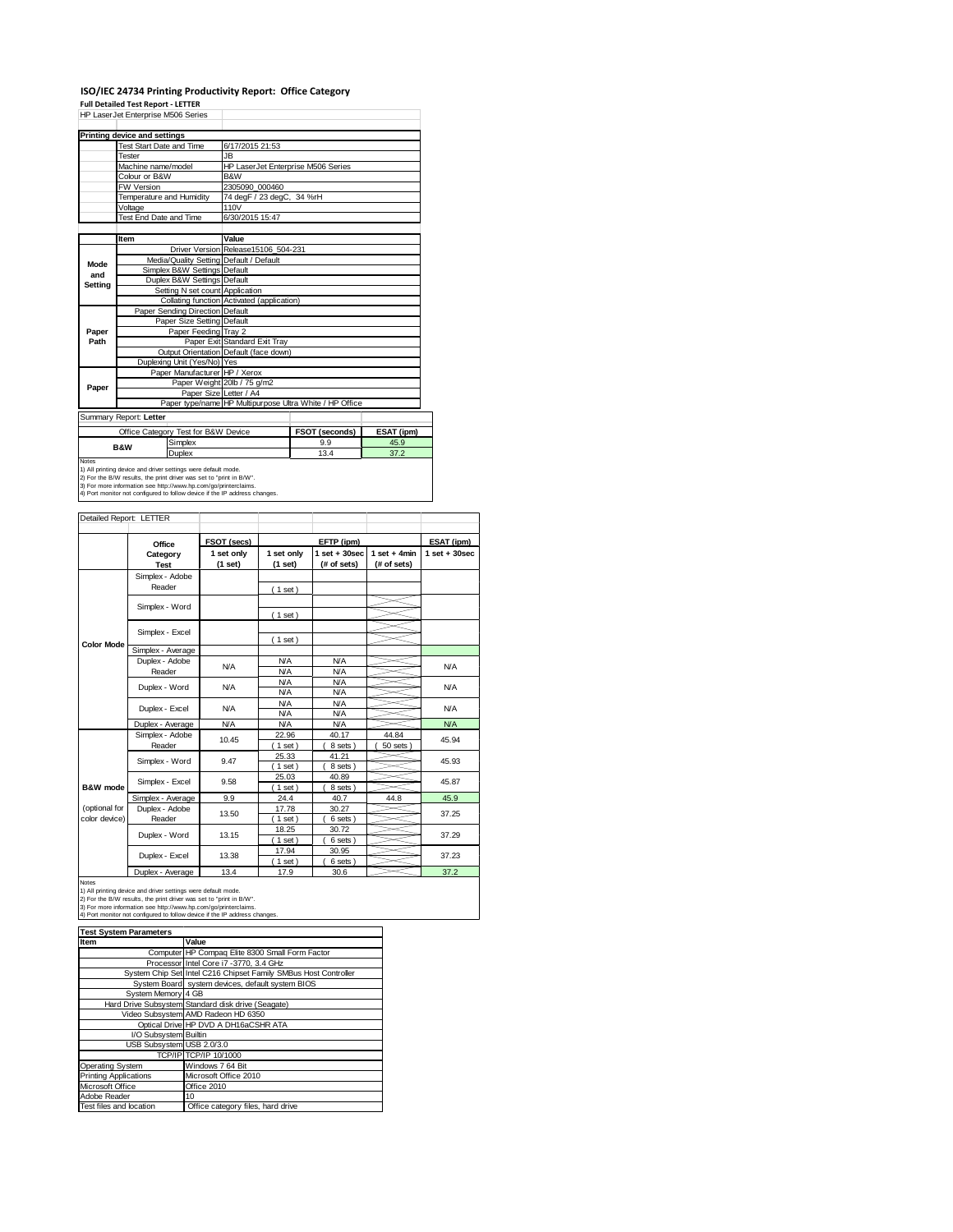### **ISO/IEC 24734 Printing Productivity Report: Office Category**

**Full Detailed Test Report ‐ LETTER** HP LaserJet Enterprise M506 Series

| HP LaserJet Enterprise M506 Series |                                                                                                                                      |                                                         |                       |            |  |  |
|------------------------------------|--------------------------------------------------------------------------------------------------------------------------------------|---------------------------------------------------------|-----------------------|------------|--|--|
|                                    | <b>Printing device and settings</b>                                                                                                  |                                                         |                       |            |  |  |
|                                    | <b>Test Start Date and Time</b>                                                                                                      | 6/17/2015 21:53                                         |                       |            |  |  |
|                                    | Tester                                                                                                                               | JB.                                                     |                       |            |  |  |
|                                    | Machine name/model                                                                                                                   | HP LaserJet Enterprise M506 Series                      |                       |            |  |  |
|                                    | Colour or B&W                                                                                                                        | B&W                                                     |                       |            |  |  |
|                                    | <b>FW Version</b>                                                                                                                    | 2305090 000460                                          |                       |            |  |  |
|                                    | Temperature and Humidity                                                                                                             | 74 degF / 23 degC, 34 %rH                               |                       |            |  |  |
|                                    | Voltage                                                                                                                              | 110V                                                    |                       |            |  |  |
|                                    | Test End Date and Time                                                                                                               | 6/30/2015 15:47                                         |                       |            |  |  |
|                                    |                                                                                                                                      |                                                         |                       |            |  |  |
|                                    | Item                                                                                                                                 | Value                                                   |                       |            |  |  |
|                                    |                                                                                                                                      | Driver Version Release15106 504-231                     |                       |            |  |  |
| Mode                               | Media/Quality Setting Default / Default                                                                                              |                                                         |                       |            |  |  |
| and                                | Simplex B&W Settings Default                                                                                                         |                                                         |                       |            |  |  |
| Setting                            | Duplex B&W Settings Default                                                                                                          |                                                         |                       |            |  |  |
|                                    | Setting N set count Application                                                                                                      |                                                         |                       |            |  |  |
|                                    |                                                                                                                                      | Collating function Activated (application)              |                       |            |  |  |
|                                    | Paper Sending Direction Default                                                                                                      |                                                         |                       |            |  |  |
|                                    | Paper Size Setting Default                                                                                                           |                                                         |                       |            |  |  |
| Paper                              | Paper Feeding Tray 2                                                                                                                 |                                                         |                       |            |  |  |
| Path                               |                                                                                                                                      | Paper Exit Standard Exit Tray                           |                       |            |  |  |
|                                    |                                                                                                                                      | Output Orientation Default (face down)                  |                       |            |  |  |
|                                    | Duplexing Unit (Yes/No) Yes                                                                                                          |                                                         |                       |            |  |  |
|                                    | Paper Manufacturer HP / Xerox                                                                                                        |                                                         |                       |            |  |  |
| Paper                              |                                                                                                                                      | Paper Weight 20lb / 75 g/m2                             |                       |            |  |  |
|                                    |                                                                                                                                      | Paper Size Letter / A4                                  |                       |            |  |  |
|                                    |                                                                                                                                      | Paper type/name HP Multipurpose Ultra White / HP Office |                       |            |  |  |
|                                    | Summary Report: Letter                                                                                                               |                                                         |                       |            |  |  |
|                                    | Office Category Test for B&W Device                                                                                                  |                                                         | <b>FSOT (seconds)</b> | ESAT (ipm) |  |  |
|                                    | Simplex<br><b>B&amp;W</b>                                                                                                            |                                                         | 9.9                   | 45.9       |  |  |
|                                    | Duplex                                                                                                                               |                                                         | 13.4                  | 37.2       |  |  |
| Notes                              |                                                                                                                                      |                                                         |                       |            |  |  |
|                                    | 1) All printing device and driver settings were default mode.<br>2) For the B/W results, the print driver was set to "print in B/W". |                                                         |                       |            |  |  |
|                                    | 3) For more information see http://www.hp.com/go/printerclaims.                                                                      |                                                         |                       |            |  |  |
|                                    | 4) Port monitor not configured to follow device if the IP address changes.                                                           |                                                         |                       |            |  |  |

|                   | Office                   | FSOT (secs)           |                       | EFTP (ipm)                       |                               | ESAT (ipm)        |
|-------------------|--------------------------|-----------------------|-----------------------|----------------------------------|-------------------------------|-------------------|
|                   | Category<br><b>Test</b>  | 1 set only<br>(1 set) | 1 set only<br>(1 set) | $1$ set $+30$ sec<br>(# of sets) | $1$ set + 4min<br>(# of sets) | $1$ set $+30$ sec |
|                   | Simplex - Adobe          |                       |                       |                                  |                               |                   |
|                   | Reader                   |                       | (1 set)               |                                  |                               |                   |
|                   |                          |                       |                       |                                  |                               |                   |
|                   | Simplex - Word           |                       | $1$ set)              |                                  |                               |                   |
|                   |                          |                       |                       |                                  |                               |                   |
|                   | Simplex - Excel          |                       |                       |                                  |                               |                   |
| <b>Color Mode</b> |                          |                       | $(1$ set)             |                                  |                               |                   |
|                   | Simplex - Average        |                       |                       |                                  |                               |                   |
|                   | Duplex - Adobe           | N/A                   | <b>N/A</b>            | <b>N/A</b>                       |                               | N/A               |
|                   | Reader                   |                       | <b>N/A</b>            | <b>N/A</b>                       |                               |                   |
|                   | Duplex - Word            | N/A                   | <b>N/A</b>            | <b>N/A</b>                       |                               | <b>N/A</b>        |
|                   |                          |                       | <b>N/A</b>            | <b>N/A</b>                       |                               |                   |
|                   | Duplex - Excel           | N/A                   | <b>N/A</b>            | <b>N/A</b>                       |                               | N/A               |
|                   |                          |                       | N/A                   | <b>N/A</b>                       |                               |                   |
|                   | Duplex - Average         | <b>N/A</b>            | <b>N/A</b>            | <b>N/A</b>                       |                               | <b>N/A</b>        |
|                   | Simplex - Adobe          | 10.45                 | 22.96                 | 40.17                            | 44.84                         | 45.94             |
|                   | Reader<br>Simplex - Word | 9.47                  | $1$ set)<br>25.33     | 8 sets<br>41.21                  | 50 sets                       | 45.93             |
|                   |                          |                       | $1$ set)              | 8 sets                           |                               |                   |
|                   |                          |                       | 25.03                 | 40.89                            |                               |                   |
| B&W mode          | Simplex - Excel          | 9.58                  | $1$ set)              | 8 sets                           |                               | 45.87             |
|                   | Simplex - Average        | 9.9                   | 24.4                  | 40.7                             | 44.8                          | 45.9              |
| (optional for     | Duplex - Adobe           |                       | 17.78                 | 30.27                            |                               |                   |
| color device)     | Reader                   | 13.50                 | $1$ set)              | 6 sets)                          |                               | 37.25             |
|                   |                          |                       | 18.25                 | 30.72                            |                               |                   |
|                   | Duplex - Word            | 13.15                 | $1$ set)              | 6 sets)                          |                               | 37.29             |
|                   |                          |                       | 17.94                 | 30.95                            |                               |                   |
|                   | Duplex - Excel           | 13.38                 | $1$ set)              | 6 sets)                          |                               | 37.23             |
|                   | Duplex - Average         | 13.4                  | 17.9                  | 30.6                             |                               | 37.2              |
| Notes             |                          |                       |                       |                                  |                               |                   |

| <b>Test System Parameters</b> |                                                                 |  |  |
|-------------------------------|-----------------------------------------------------------------|--|--|
| Item                          | Value                                                           |  |  |
|                               | Computer HP Compaq Elite 8300 Small Form Factor                 |  |  |
|                               | Processor Intel Core i7 -3770, 3.4 GHz                          |  |  |
|                               | System Chip Set Intel C216 Chipset Family SMBus Host Controller |  |  |
|                               | System Board system devices, default system BIOS                |  |  |
| System Memory 4 GB            |                                                                 |  |  |
|                               | Hard Drive Subsystem Standard disk drive (Seagate)              |  |  |
|                               | Video Subsystem AMD Radeon HD 6350                              |  |  |
|                               | Optical Drive HP DVD A DH16aCSHR ATA                            |  |  |
| I/O Subsystem Builtin         |                                                                 |  |  |
| USB Subsystem USB 2.0/3.0     |                                                                 |  |  |
|                               | TCP/IP TCP/IP 10/1000                                           |  |  |
| Operating System              | Windows 7 64 Bit                                                |  |  |
| <b>Printing Applications</b>  | Microsoft Office 2010                                           |  |  |
| Microsoft Office              | Office 2010                                                     |  |  |
| Adobe Reader                  | 10                                                              |  |  |
| Test files and location       | Office category files, hard drive                               |  |  |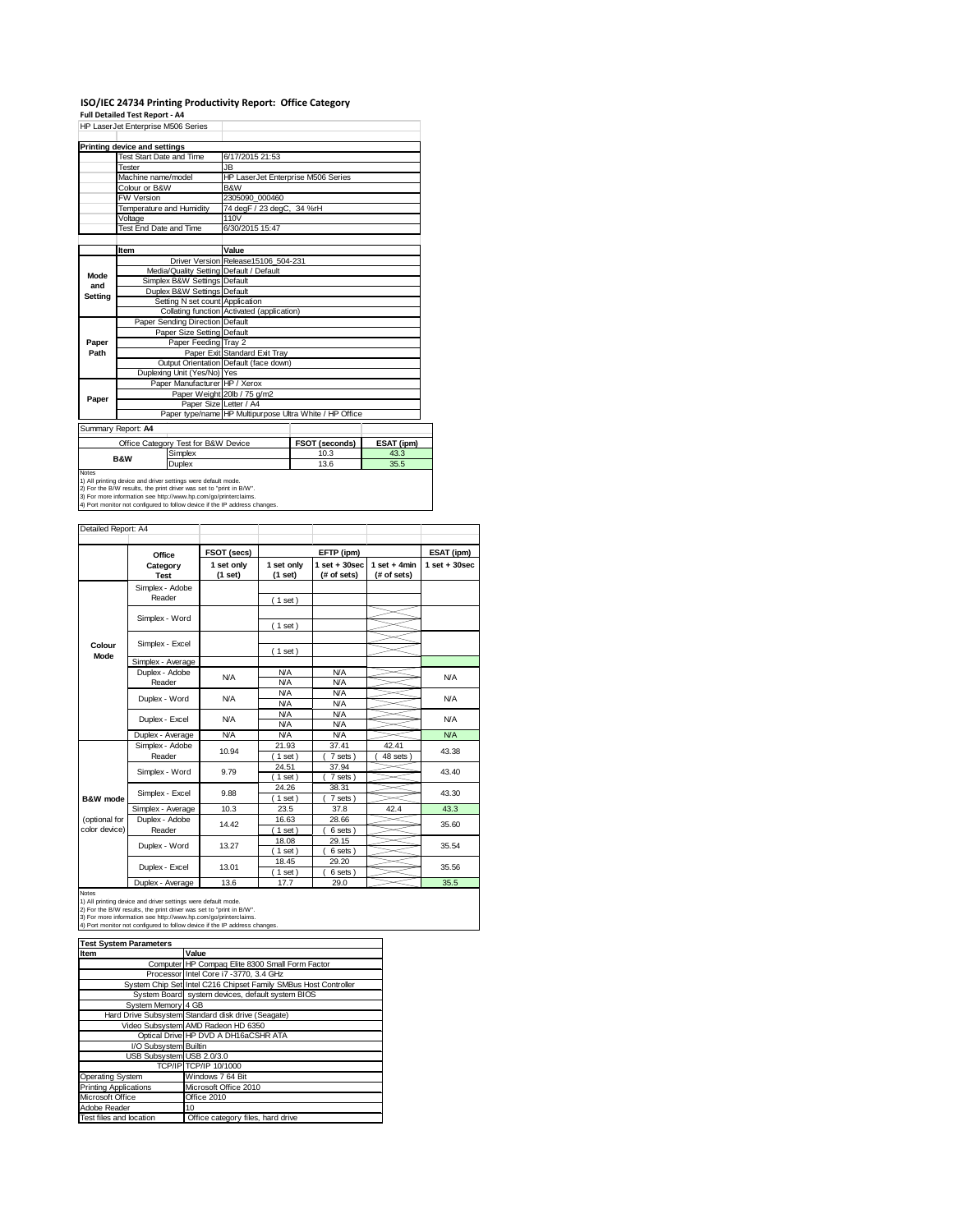### **ISO/IEC 24734 Printing Productivity Report: Office Category Full Detailed Test Report ‐ A4**

| HP LaserJet Enterprise M506 Series |                                                               |                                     |                                                         |                |            |  |
|------------------------------------|---------------------------------------------------------------|-------------------------------------|---------------------------------------------------------|----------------|------------|--|
|                                    | Printing device and settings                                  |                                     |                                                         |                |            |  |
|                                    | Test Start Date and Time                                      |                                     | 6/17/2015 21:53                                         |                |            |  |
|                                    | Tester                                                        |                                     | JB.                                                     |                |            |  |
|                                    | Machine name/model                                            |                                     | HP LaserJet Enterprise M506 Series                      |                |            |  |
|                                    | Colour or B&W                                                 |                                     | B&W                                                     |                |            |  |
|                                    | FW Version                                                    |                                     | 2305090 000460                                          |                |            |  |
|                                    | Temperature and Humidity                                      |                                     | 74 degF / 23 degC, 34 %rH                               |                |            |  |
|                                    | Voltage                                                       |                                     | 110V                                                    |                |            |  |
|                                    | Test End Date and Time                                        |                                     | 6/30/2015 15:47                                         |                |            |  |
|                                    |                                                               |                                     |                                                         |                |            |  |
|                                    | Item                                                          |                                     | Value                                                   |                |            |  |
|                                    |                                                               |                                     | Driver Version Release15106 504-231                     |                |            |  |
| Mode                               |                                                               |                                     | Media/Quality Setting Default / Default                 |                |            |  |
| and                                |                                                               | Simplex B&W Settings Default        |                                                         |                |            |  |
| Setting                            |                                                               | Duplex B&W Settings Default         |                                                         |                |            |  |
|                                    |                                                               | Setting N set count Application     | Collating function Activated (application)              |                |            |  |
|                                    |                                                               | Paper Sending Direction Default     |                                                         |                |            |  |
|                                    |                                                               | Paper Size Setting Default          |                                                         |                |            |  |
| Paper                              |                                                               | Paper Feeding Trav 2                |                                                         |                |            |  |
| Path                               |                                                               |                                     | Paper Exit Standard Exit Tray                           |                |            |  |
|                                    |                                                               |                                     | Output Orientation Default (face down)                  |                |            |  |
|                                    |                                                               | Duplexing Unit (Yes/No) Yes         |                                                         |                |            |  |
|                                    |                                                               | Paper Manufacturer HP / Xerox       |                                                         |                |            |  |
|                                    |                                                               |                                     | Paper Weight 20lb / 75 g/m2                             |                |            |  |
| Paper                              |                                                               | Paper Size Letter / A4              |                                                         |                |            |  |
|                                    |                                                               |                                     | Paper type/name HP Multipurpose Ultra White / HP Office |                |            |  |
|                                    | Summary Report: A4                                            |                                     |                                                         |                |            |  |
|                                    |                                                               | Office Category Test for B&W Device |                                                         | FSOT (seconds) | ESAT (ipm) |  |
|                                    | <b>B&amp;W</b>                                                | Simplex                             |                                                         | 10.3           | 43.3       |  |
|                                    |                                                               | Duplex                              |                                                         | 13.6           | 35.5       |  |
| <b>Notes</b>                       | 1) All printing device and driver settings were default mode. |                                     |                                                         |                |            |  |

1) All printing device and driver settings were default mode.<br>2) For the B/W results, the print driver was set to "print in B/W".<br>3) For more information see http://www.hp.com/go/printerclaims.<br>4) Port monitor not configur

| Detailed Report: A4            |                           |                       |                          |                                  |                               |                  |
|--------------------------------|---------------------------|-----------------------|--------------------------|----------------------------------|-------------------------------|------------------|
|                                | Office                    | FSOT (secs)           |                          | EFTP (ipm)                       |                               | ESAT (ipm)       |
|                                | Category<br><b>Test</b>   | 1 set only<br>(1 set) | 1 set only<br>(1 set)    | $1$ set $+30$ sec<br>(# of sets) | $1$ set + 4min<br>(# of sets) | $1 set + 30 sec$ |
|                                | Simplex - Adobe<br>Reader |                       | (1 set)                  |                                  |                               |                  |
|                                | Simplex - Word            |                       | (1 set)                  |                                  |                               |                  |
| Colour<br>Mode                 | Simplex - Excel           |                       | $1$ set)                 |                                  |                               |                  |
|                                | Simplex - Average         |                       |                          |                                  |                               |                  |
|                                | Duplex - Adobe<br>Reader  | <b>N/A</b>            | <b>N/A</b><br><b>N/A</b> | <b>N/A</b><br><b>N/A</b>         |                               | <b>N/A</b>       |
|                                | Duplex - Word             | <b>N/A</b>            | <b>N/A</b><br><b>N/A</b> | <b>N/A</b><br><b>N/A</b>         |                               | <b>N/A</b>       |
|                                | Duplex - Excel            | N/A                   | <b>N/A</b><br><b>N/A</b> | <b>N/A</b><br><b>N/A</b>         |                               | <b>N/A</b>       |
|                                | Duplex - Average          | <b>N/A</b>            | <b>N/A</b>               | <b>N/A</b>                       |                               | <b>N/A</b>       |
|                                | Simplex - Adobe<br>Reader | 10.94                 | 21.93<br>$1$ set)        | 37.41<br>7 sets                  | 42.41<br>48 sets              | 43.38            |
|                                | Simplex - Word            | 9.79                  | 24.51<br>$1$ set)        | 37.94<br>7 sets)                 |                               | 43.40            |
| B&W mode                       | Simplex - Excel           | 9.88                  | 24.26<br>$1$ set)        | 38.31<br>7 sets)                 |                               | 43.30            |
|                                | Simplex - Average         | 10.3                  | 23.5                     | 37.8                             | 42.4                          | 43.3             |
| (optional for<br>color device) | Duplex - Adobe<br>Reader  | 14.42                 | 16.63<br>1 set)          | 28.66<br>6 sets                  |                               | 35.60            |
|                                | Duplex - Word             | 13.27                 | 18.08<br>$1$ set)        | 29.15<br>6 sets)                 |                               | 35.54            |
|                                | Duplex - Excel            | 13.01                 | 18.45<br>$1$ set)        | 29.20<br>6 sets                  |                               | 35.56            |
|                                | Duplex - Average          | 13.6                  | 17.7                     | 29.0                             |                               | 35.5             |

Notes<br>1) All printing device and driver settings were default mode.<br>2) For the B/W results, the print driver was set to "print in B/W".<br>3) For more information see http://www.hp.com/go/printerclaims.<br>4) Port monitor not co

| <b>Test System Parameters</b>   |                                                                 |  |  |
|---------------------------------|-----------------------------------------------------------------|--|--|
| Item                            | Value                                                           |  |  |
|                                 | Computer HP Compaq Elite 8300 Small Form Factor                 |  |  |
|                                 | Processor Intel Core i7 -3770, 3.4 GHz                          |  |  |
|                                 | System Chip Set Intel C216 Chipset Family SMBus Host Controller |  |  |
|                                 | System Board system devices, default system BIOS                |  |  |
| System Memory 4 GB              |                                                                 |  |  |
|                                 | Hard Drive Subsystem Standard disk drive (Seagate)              |  |  |
|                                 | Video Subsystem AMD Radeon HD 6350                              |  |  |
|                                 | Optical Drive HP DVD A DH16aCSHR ATA                            |  |  |
| I/O Subsystem Builtin           |                                                                 |  |  |
| USB Subsystem USB 2.0/3.0       |                                                                 |  |  |
|                                 | TCP/IP TCP/IP 10/1000                                           |  |  |
| <b>Operating System</b>         | Windows 7 64 Bit                                                |  |  |
| <b>Printing Applications</b>    | Microsoft Office 2010                                           |  |  |
| Microsoft Office<br>Office 2010 |                                                                 |  |  |
| Adobe Reader                    | 10                                                              |  |  |
| Test files and location         | Office category files, hard drive                               |  |  |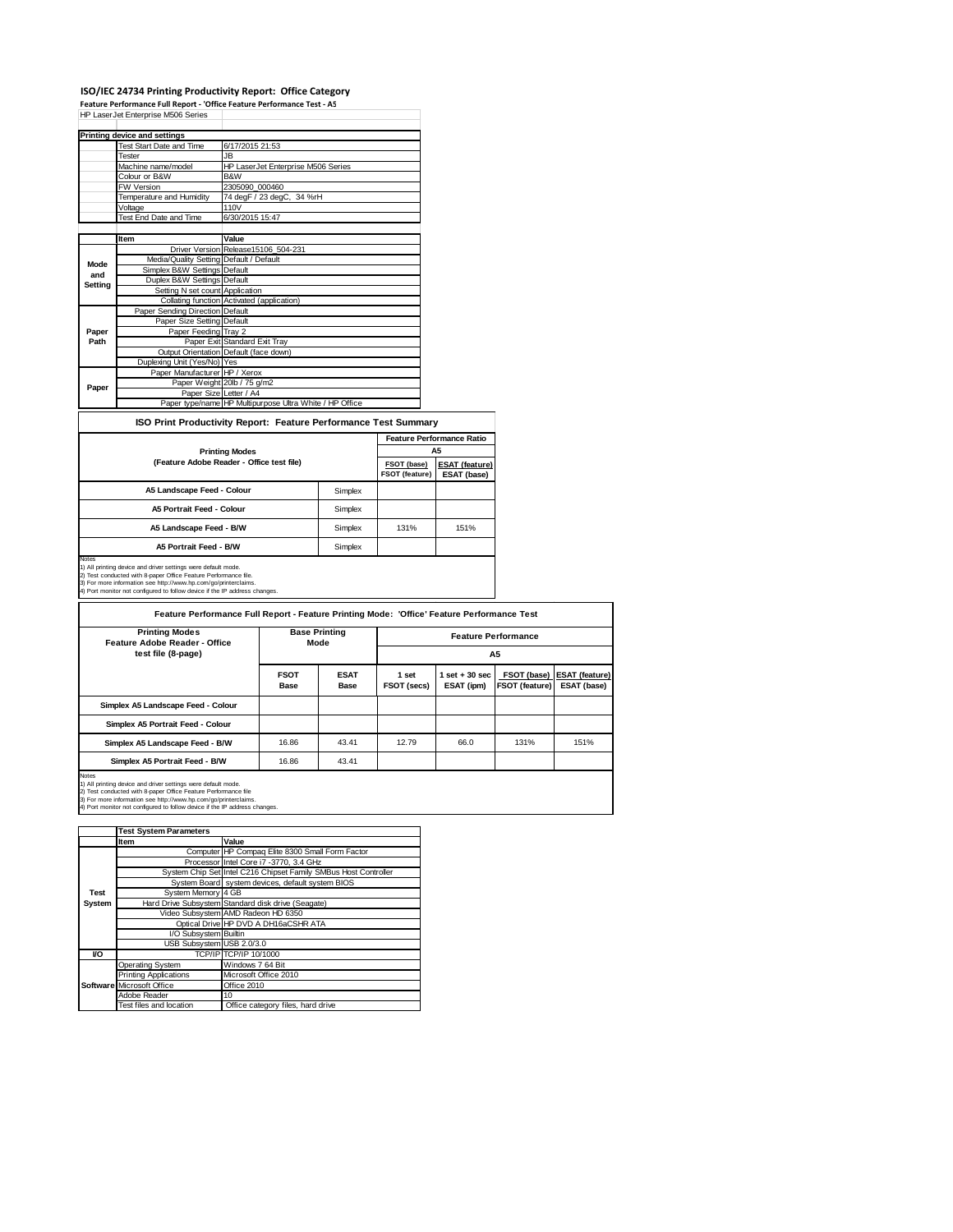#### **ISO/IEC 24734 Printing Productivity Report: Office Category**

**Feature Performance Full Report ‐ 'Office Feature Performance Test ‐ A5** HP LaserJet Enterprise M506 Series

|                | <b>Printing device and settings</b>     |                                                         |
|----------------|-----------------------------------------|---------------------------------------------------------|
|                | <b>Test Start Date and Time</b>         | 6/17/2015 21:53                                         |
|                | Tester                                  | JB.                                                     |
|                | Machine name/model                      | HP LaserJet Enterprise M506 Series                      |
|                | Colour or B&W                           | B&W                                                     |
|                | <b>FW Version</b>                       | 2305090 000460                                          |
|                | Temperature and Humidity                | 74 degF / 23 degC, 34 %rH                               |
|                | Voltage                                 | 110V                                                    |
|                | Test End Date and Time                  | 6/30/2015 15:47                                         |
|                |                                         |                                                         |
|                | Item                                    | Value                                                   |
|                |                                         | Driver Version Release15106 504-231                     |
| Mode           | Media/Quality Setting Default / Default |                                                         |
| and            | Simplex B&W Settings Default            |                                                         |
| <b>Setting</b> | Duplex B&W Settings Default             |                                                         |
|                | Setting N set count Application         |                                                         |
|                |                                         | Collating function Activated (application)              |
|                | Paper Sending Direction Default         |                                                         |
|                | Paper Size Setting Default              |                                                         |
| Paper          | Paper Feeding Tray 2                    |                                                         |
| Path           |                                         | Paper Exit Standard Exit Tray                           |
|                |                                         | Output Orientation Default (face down)                  |
|                | Duplexing Unit (Yes/No) Yes             |                                                         |
|                | Paper Manufacturer HP / Xerox           |                                                         |
| Paper          |                                         | Paper Weight 20lb / 75 g/m2                             |
|                | Paper Size Letter / A4                  |                                                         |
|                |                                         | Paper type/name HP Multipurpose Ultra White / HP Office |

#### **ISO Print Productivity Report: Feature Performance Test Summary**

|                                           |         | <b>Feature Performance Ratio</b> |                                      |
|-------------------------------------------|---------|----------------------------------|--------------------------------------|
| <b>Printing Modes</b>                     |         |                                  | A5                                   |
| (Feature Adobe Reader - Office test file) |         | FSOT (base)<br>FSOT (feature)    | <b>ESAT (feature)</b><br>ESAT (base) |
| A5 Landscape Feed - Colour                | Simplex |                                  |                                      |
| A5 Portrait Feed - Colour                 | Simplex |                                  |                                      |
| A5 Landscape Feed - B/W                   | Simplex | 131%                             | 151%                                 |
| <b>A5 Portrait Feed - B/W</b>             | Simplex |                                  |                                      |
| lotes                                     |         |                                  |                                      |

Notes<br>1) All printing device and driver settings were default mode.<br>2) Test conducted with 8-paper Office Feature Performance file.<br>3) For more information see http://www.hp.com/go/printerclaims.<br>4) Port monitor not config

**FSOT Base ESAT Base 1 set FSOT (secs) 1 set + 30 sec ESAT (ipm) FSOT (base) FSOT (feature) ESAT (feature) ESAT (base) Simplex A5 Landscape Feed - Colour Simplex A5 Portrait Feed - Colour Simplex A5 Landscape Feed - B/W** 16.86 43.41 12.79 66.0 131% 151% **Simplex A5 Portrait Feed - B/W** 16.86 43.41 Notes<br>1) All printing device and driver settings were default mode.<br>2) Test conducted with 8-paper Office Feature Performance file<br>3) For more information see http://www.hp.com/go/printerclaims.<br>4) Port monitor not configu **Feature Performance Full Report - Feature Printing Mode: 'Office' Feature Performance Test Feature Performance A5 Base Printing Mode Printing Modes Feature Adobe Reader - Office test file (8-page)**

|             | <b>Test System Parameters</b> |                                                                 |
|-------------|-------------------------------|-----------------------------------------------------------------|
|             | <b>Item</b>                   | Value                                                           |
|             |                               | Computer HP Compag Elite 8300 Small Form Factor                 |
|             |                               | Processor Intel Core i7 -3770, 3.4 GHz                          |
|             |                               | System Chip Set Intel C216 Chipset Family SMBus Host Controller |
|             |                               | System Board system devices, default system BIOS                |
| <b>Test</b> | System Memory 4 GB            |                                                                 |
| System      |                               | Hard Drive Subsystem Standard disk drive (Seagate)              |
|             |                               | Video Subsystem AMD Radeon HD 6350                              |
|             |                               | Optical Drive HP DVD A DH16aCSHR ATA                            |
|             | I/O Subsystem Builtin         |                                                                 |
|             | USB Subsystem USB 2.0/3.0     |                                                                 |
| VO          |                               | TCP/IP TCP/IP 10/1000                                           |
|             | <b>Operating System</b>       | Windows 7 64 Bit                                                |
|             | <b>Printing Applications</b>  | Microsoft Office 2010                                           |
|             | Software Microsoft Office     | Office 2010                                                     |
|             | Adobe Reader                  | 10                                                              |
|             | Test files and location       | Office category files, hard drive                               |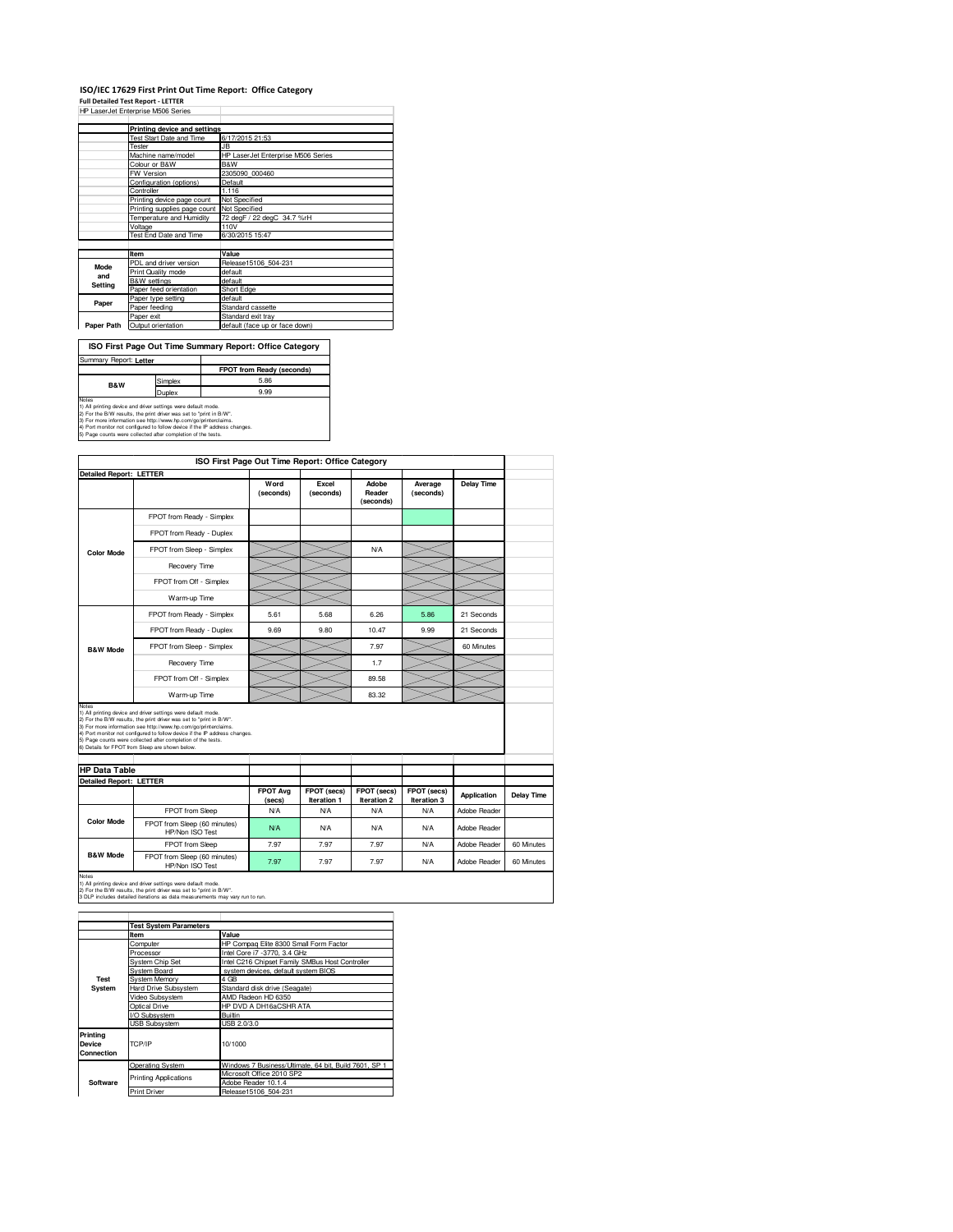### **ISO/IEC 17629 First Print Out Time Report: Office Category Full Detailed Test Report - LETTER** HP LaserJet Enterprise M506 Series

|            | Printing device and settings               |                                    |  |  |
|------------|--------------------------------------------|------------------------------------|--|--|
|            | <b>Test Start Date and Time</b>            | 6/17/2015 21:53                    |  |  |
|            | Tester                                     | .IR                                |  |  |
|            | Machine name/model                         | HP LaserJet Enterprise M506 Series |  |  |
|            | Colour or B&W                              | B&W                                |  |  |
|            | FW Version                                 | 2305090 000460                     |  |  |
|            | Configuration (options)                    | Default                            |  |  |
|            | Controller                                 | 1.116                              |  |  |
|            | Printing device page count                 | Not Specified                      |  |  |
|            | Printing supplies page count Not Specified |                                    |  |  |
|            | Temperature and Humidity                   | 72 degF / 22 degC 34.7 %rH         |  |  |
|            | Voltage                                    | 110V                               |  |  |
|            | Test End Date and Time                     | 6/30/2015 15:47                    |  |  |
|            |                                            |                                    |  |  |
|            | Item                                       | Value                              |  |  |
| Mode       | PDL and driver version                     | Release15106 504-231               |  |  |
| and        | Print Quality mode                         | default                            |  |  |
|            | <b>B&amp;W</b> settings                    | default                            |  |  |
| Setting    | Paper feed orientation                     | Short Edge                         |  |  |
|            | Paper type setting                         | default                            |  |  |
| Paper      | Paper feeding                              | Standard cassette                  |  |  |
|            | Paper exit                                 | Standard exit tray                 |  |  |
| Paper Path | Output orientation                         | default (face up or face down)     |  |  |

| ISO First Page Out Time Summary Report: Office Category                                                                                                                                                                                                                                                                                                        |         |                           |  |  |  |
|----------------------------------------------------------------------------------------------------------------------------------------------------------------------------------------------------------------------------------------------------------------------------------------------------------------------------------------------------------------|---------|---------------------------|--|--|--|
| Summary Report: Letter                                                                                                                                                                                                                                                                                                                                         |         |                           |  |  |  |
|                                                                                                                                                                                                                                                                                                                                                                |         | FPOT from Ready (seconds) |  |  |  |
| <b>B&amp;W</b>                                                                                                                                                                                                                                                                                                                                                 | Simplex | 5.86                      |  |  |  |
|                                                                                                                                                                                                                                                                                                                                                                | Duplex  | 9.99                      |  |  |  |
| Notes<br>1) All printing device and driver settings were default mode.<br>2) For the B/W results, the print driver was set to "print in B/W".<br>3) For more information see http://www.hp.com/go/printerclaims.<br>4) Port monitor not configured to follow device if the IP address changes.<br>5) Page counts were collected after completion of the tests. |         |                           |  |  |  |

|                                | Detailed Report: LETTER                                                                                                                                                                                                                                                                                                                 |                           |                            |                              |                            |              |            |
|--------------------------------|-----------------------------------------------------------------------------------------------------------------------------------------------------------------------------------------------------------------------------------------------------------------------------------------------------------------------------------------|---------------------------|----------------------------|------------------------------|----------------------------|--------------|------------|
|                                |                                                                                                                                                                                                                                                                                                                                         | Word<br>(seconds)         | Excel<br>(seconds)         | Adobe<br>Reader<br>(seconds) | Average<br>(seconds)       | Delay Time   |            |
|                                | FPOT from Ready - Simplex                                                                                                                                                                                                                                                                                                               |                           |                            |                              |                            |              |            |
|                                | FPOT from Ready - Duplex                                                                                                                                                                                                                                                                                                                |                           |                            |                              |                            |              |            |
| <b>Color Mode</b>              | FPOT from Sleep - Simplex                                                                                                                                                                                                                                                                                                               |                           |                            | N/A                          |                            |              |            |
|                                | Recovery Time                                                                                                                                                                                                                                                                                                                           |                           |                            |                              |                            |              |            |
|                                | FPOT from Off - Simplex                                                                                                                                                                                                                                                                                                                 |                           |                            |                              |                            |              |            |
|                                | Warm-up Time                                                                                                                                                                                                                                                                                                                            |                           |                            |                              |                            |              |            |
|                                | FPOT from Ready - Simplex                                                                                                                                                                                                                                                                                                               | 5.61                      | 5.68                       | 6.26                         | 5.86                       | 21 Seconds   |            |
|                                | FPOT from Ready - Duplex                                                                                                                                                                                                                                                                                                                | 9.69                      | 9.80                       | 10.47                        | 9.99                       | 21 Seconds   |            |
| <b>B&amp;W Mode</b>            | FPOT from Sleep - Simplex                                                                                                                                                                                                                                                                                                               |                           |                            | 7.97                         |                            | 60 Minutes   |            |
|                                | Recovery Time                                                                                                                                                                                                                                                                                                                           |                           |                            | 1.7                          |                            |              |            |
|                                | FPOT from Off - Simplex                                                                                                                                                                                                                                                                                                                 |                           |                            | 89.58                        |                            |              |            |
|                                | Warm-up Time                                                                                                                                                                                                                                                                                                                            |                           |                            | 83.32                        |                            |              |            |
| Notes                          | 1) All printing device and driver settings were default mode.                                                                                                                                                                                                                                                                           |                           |                            |                              |                            |              |            |
|                                | 2) For the B/W results, the print driver was set to "print in B/W".<br>3) For more information see http://www.hp.com/go/printerclaims.<br>4) Port monitor not configured to follow device if the IP address changes.<br>5) Page counts were collected after completion of the tests.<br>6) Details for FPOT from Sleep are shown below. |                           |                            |                              |                            |              |            |
| <b>HP Data Table</b>           |                                                                                                                                                                                                                                                                                                                                         |                           |                            |                              |                            |              |            |
| <b>Detailed Report: LETTER</b> |                                                                                                                                                                                                                                                                                                                                         | <b>FPOT Avg</b><br>(secs) | FPOT (secs)<br>Iteration 1 | FPOT (secs)<br>Iteration 2   | FPOT (secs)<br>Iteration 3 | Application  |            |
|                                | FPOT from Sleep                                                                                                                                                                                                                                                                                                                         | N/A                       | <b>N/A</b>                 | <b>N/A</b>                   | <b>N/A</b>                 | Adobe Reader | Delay Time |
| <b>Color Mode</b>              | FPOT from Sleep (60 minutes)<br>HP/Non ISO Test                                                                                                                                                                                                                                                                                         | <b>N/A</b>                | <b>N/A</b>                 | N/A                          | N/A                        | Adobe Reader |            |
|                                | FPOT from Sleep                                                                                                                                                                                                                                                                                                                         | 7.97                      | 7.97                       | 7.97                         | N/A                        | Adobe Reader | 60 Minutes |
| <b>B&amp;W Mode</b>            | FPOT from Sleep (60 minutes)<br>HP/Non ISO Test                                                                                                                                                                                                                                                                                         | 7.97                      | 7.97                       | 7.97                         | <b>N/A</b>                 | Adobe Reader | 60 Minutes |

|                                         | <b>Test System Parameters</b> |                                                       |  |  |  |
|-----------------------------------------|-------------------------------|-------------------------------------------------------|--|--|--|
|                                         | Item                          | Value                                                 |  |  |  |
|                                         | Computer                      | HP Compag Elite 8300 Small Form Factor                |  |  |  |
|                                         | Processor                     | Intel Core i7 -3770, 3.4 GHz                          |  |  |  |
|                                         | <b>System Chip Set</b>        | Intel C216 Chipset Family SMBus Host Controller       |  |  |  |
|                                         | System Board                  | system devices, default system BIOS                   |  |  |  |
| Test                                    | <b>System Memory</b>          | 4 GB                                                  |  |  |  |
| System                                  | <b>Hard Drive Subsystem</b>   | Standard disk drive (Seagate)                         |  |  |  |
|                                         | Video Subsystem               | AMD Radeon HD 6350                                    |  |  |  |
|                                         | Optical Drive                 | HP DVD A DH16aCSHR ATA                                |  |  |  |
|                                         | I/O Subsystem                 | <b>Builtin</b>                                        |  |  |  |
|                                         | <b>USB Subsystem</b>          | USB 2.0/3.0                                           |  |  |  |
| Printing<br><b>Device</b><br>Connection | TCP/IP                        | 10/1000                                               |  |  |  |
|                                         | Operating System              | Windows 7 Business/Ultimate, 64 bit, Build 7601, SP 1 |  |  |  |
|                                         | <b>Printing Applications</b>  | Microsoft Office 2010 SP2                             |  |  |  |
| Software                                |                               | Adobe Reader 10.1.4                                   |  |  |  |
|                                         | <b>Print Driver</b>           | Release15106 504-231                                  |  |  |  |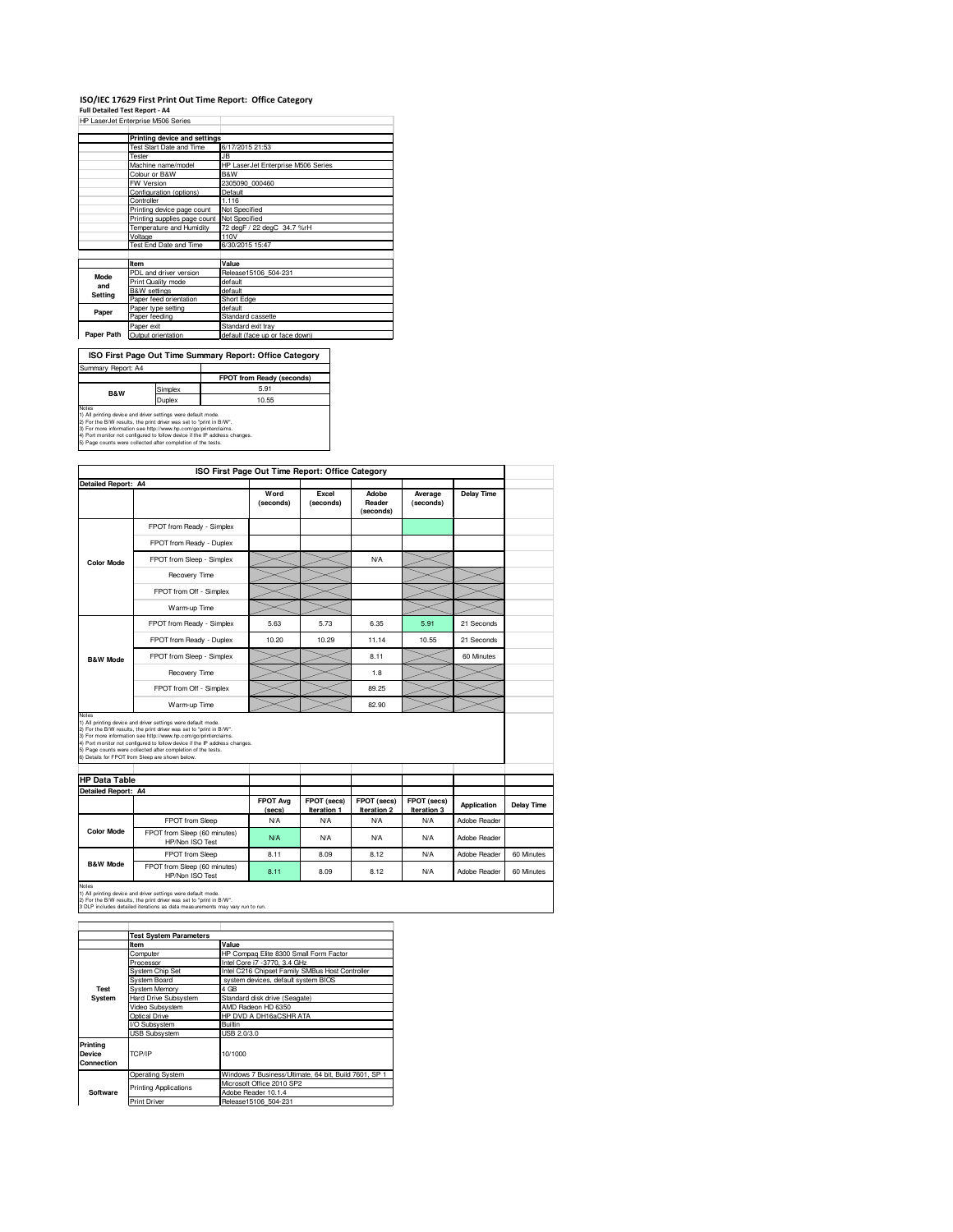# **ISO/IEC 17629 First Print Out Time Report: Office Category Full Detailed Test Report - A4** HP LaserJet Enterprise M506 Series

|            | Printing device and settings    |                                    |  |  |  |
|------------|---------------------------------|------------------------------------|--|--|--|
|            | <b>Test Start Date and Time</b> | 6/17/2015 21:53                    |  |  |  |
|            | Tester                          | JB                                 |  |  |  |
|            | Machine name/model              | HP LaserJet Enterprise M506 Series |  |  |  |
|            | Colour or B&W                   | B&W                                |  |  |  |
|            | FW Version                      | 2305090 000460                     |  |  |  |
|            | Configuration (options)         | Default                            |  |  |  |
|            | Controller                      | 1.116                              |  |  |  |
|            | Printing device page count      | Not Specified                      |  |  |  |
|            | Printing supplies page count    | Not Specified                      |  |  |  |
|            | Temperature and Humidity        | 72 degF / 22 degC 34.7 %rH         |  |  |  |
|            | Voltage                         | 110V                               |  |  |  |
|            | Test End Date and Time          | 6/30/2015 15:47                    |  |  |  |
|            |                                 |                                    |  |  |  |
|            | Item                            | Value                              |  |  |  |
| Mode       | PDL and driver version          | Release15106 504-231               |  |  |  |
| and        | Print Quality mode              | default                            |  |  |  |
| Setting    | <b>B&amp;W</b> settings         | default                            |  |  |  |
|            | Paper feed orientation          | Short Edge                         |  |  |  |
| Paper      | Paper type setting              | default                            |  |  |  |
|            | Paper feeding                   | Standard cassette                  |  |  |  |
|            | Paper exit                      | Standard exit tray                 |  |  |  |
| Paper Path | Output orientation              | default (face up or face down)     |  |  |  |
|            |                                 |                                    |  |  |  |

| ISO First Page Out Time Summary Report: Office Category                                                                                                                                                                       |         |                                  |  |  |  |
|-------------------------------------------------------------------------------------------------------------------------------------------------------------------------------------------------------------------------------|---------|----------------------------------|--|--|--|
| Summary Report: A4                                                                                                                                                                                                            |         |                                  |  |  |  |
|                                                                                                                                                                                                                               |         | <b>FPOT from Ready (seconds)</b> |  |  |  |
| <b>B&amp;W</b>                                                                                                                                                                                                                | Simplex | 5.91                             |  |  |  |
| Duplex                                                                                                                                                                                                                        |         | 10.55                            |  |  |  |
| Notes<br>1) All printing device and driver settings were default mode.<br>2) For the B/W results, the print driver was set to "print in B/W".<br>At Figures and information and interference for a contractorizational design |         |                                  |  |  |  |

2) For the B/W results, the print driver was set to "print in B/W".<br>3) For more information see http://www.hp.com/go/printerclaims.<br>4) Port monitor not configured to follow device if the IP address changes.<br>5) Page counts

|                      | ISO First Page Out Time Report: Office Category                                                                                                                                                                                                                                                                                                                                                          |                           |                            |                              |                            |                     |                   |
|----------------------|----------------------------------------------------------------------------------------------------------------------------------------------------------------------------------------------------------------------------------------------------------------------------------------------------------------------------------------------------------------------------------------------------------|---------------------------|----------------------------|------------------------------|----------------------------|---------------------|-------------------|
| Detailed Report: A4  |                                                                                                                                                                                                                                                                                                                                                                                                          |                           |                            |                              |                            |                     |                   |
|                      |                                                                                                                                                                                                                                                                                                                                                                                                          | Word<br>(seconds)         | Excel<br>(seconds)         | Adobe<br>Reader<br>(seconds) | Average<br>(seconds)       | <b>Delay Time</b>   |                   |
|                      | FPOT from Ready - Simplex                                                                                                                                                                                                                                                                                                                                                                                |                           |                            |                              |                            |                     |                   |
|                      | FPOT from Ready - Duplex                                                                                                                                                                                                                                                                                                                                                                                 |                           |                            |                              |                            |                     |                   |
| <b>Color Mode</b>    | FPOT from Sleep - Simplex                                                                                                                                                                                                                                                                                                                                                                                |                           |                            | N/A                          |                            |                     |                   |
|                      | Recovery Time                                                                                                                                                                                                                                                                                                                                                                                            |                           |                            |                              |                            |                     |                   |
|                      | FPOT from Off - Simplex                                                                                                                                                                                                                                                                                                                                                                                  |                           |                            |                              |                            |                     |                   |
|                      | Warm-up Time                                                                                                                                                                                                                                                                                                                                                                                             |                           |                            |                              |                            |                     |                   |
|                      | FPOT from Ready - Simplex                                                                                                                                                                                                                                                                                                                                                                                | 5.63                      | 5.73                       | 6.35                         | 5.91                       | 21 Seconds          |                   |
|                      | FPOT from Ready - Duplex                                                                                                                                                                                                                                                                                                                                                                                 | 10.20                     | 10.29                      | 11.14                        | 10.55                      | 21 Seconds          |                   |
| <b>B&amp;W Mode</b>  | FPOT from Sleep - Simplex                                                                                                                                                                                                                                                                                                                                                                                |                           |                            | 8.11                         |                            | 60 Minutes          |                   |
|                      | Recovery Time                                                                                                                                                                                                                                                                                                                                                                                            |                           |                            | 1.8                          |                            |                     |                   |
|                      | FPOT from Off - Simplex                                                                                                                                                                                                                                                                                                                                                                                  |                           |                            | 89.25                        |                            |                     |                   |
|                      | Warm-up Time                                                                                                                                                                                                                                                                                                                                                                                             |                           |                            | 82.90                        |                            |                     |                   |
| Notes                | 1) All printing device and driver settings were default mode.<br>2) For the B/W results, the print driver was set to "print in B/W".<br>3) For more information see http://www.hp.com/go/printerclaims.<br>4) Port monitor not configured to follow device if the IP address changes.<br>5) Page counts were collected after completion of the tests.<br>6) Details for FPOT from Sleep are shown below. |                           |                            |                              |                            |                     |                   |
| <b>HP Data Table</b> |                                                                                                                                                                                                                                                                                                                                                                                                          |                           |                            |                              |                            |                     |                   |
| Detailed Report: A4  |                                                                                                                                                                                                                                                                                                                                                                                                          |                           |                            |                              |                            |                     |                   |
|                      |                                                                                                                                                                                                                                                                                                                                                                                                          | <b>FPOT Avg</b><br>(secs) | FPOT (secs)<br>Iteration 1 | FPOT (secs)<br>Iteration 2   | FPOT (secs)<br>Iteration 3 | Application         | <b>Delay Time</b> |
|                      | FPOT from Sleep                                                                                                                                                                                                                                                                                                                                                                                          | <b>N/A</b>                | <b>N/A</b>                 | N/A                          | N/A                        | <b>Adobe Reader</b> |                   |
| <b>Color Mode</b>    | FPOT from Sleep (60 minutes)<br>HP/Non ISO Test                                                                                                                                                                                                                                                                                                                                                          | <b>N/A</b>                | <b>N/A</b>                 | N/A                          | N/A                        | Adobe Reader        |                   |
|                      | FPOT from Sleep                                                                                                                                                                                                                                                                                                                                                                                          | 8.11                      | 8.09                       | 8.12                         | N/A                        | Adobe Reader        | 60 Minutes        |
| <b>B&amp;W Mode</b>  | FPOT from Sleep (60 minutes)<br>HP/Non ISO Test                                                                                                                                                                                                                                                                                                                                                          | 8.11                      | 8.09                       | 8.12                         | <b>N/A</b>                 | Adobe Reader        | 60 Minutes        |

Notes 1) All printing device and driver settings were default mode. 2) For the B/W results, the print driver was set to "print in B/W". 3 DLP includes detailed iterations as data measurements may vary run to run.

|                                  | <b>Test System Parameters</b> |                                                       |  |  |  |
|----------------------------------|-------------------------------|-------------------------------------------------------|--|--|--|
|                                  | Item                          | Value                                                 |  |  |  |
|                                  | Computer                      | HP Compag Elite 8300 Small Form Factor                |  |  |  |
|                                  | Processor                     | Intel Core i7 -3770, 3.4 GHz                          |  |  |  |
|                                  | <b>System Chip Set</b>        | Intel C216 Chipset Family SMBus Host Controller       |  |  |  |
|                                  | System Board                  | system devices, default system BIOS                   |  |  |  |
| Test                             | <b>System Memory</b>          | 4 GB                                                  |  |  |  |
| System                           | <b>Hard Drive Subsystem</b>   | Standard disk drive (Seagate)                         |  |  |  |
|                                  | Video Subsystem               | AMD Radeon HD 6350                                    |  |  |  |
|                                  | Optical Drive                 | HP DVD A DH16aCSHR ATA                                |  |  |  |
|                                  | I/O Subsystem                 | <b>Builtin</b>                                        |  |  |  |
|                                  | <b>USB Subsystem</b>          | USB 2.0/3.0                                           |  |  |  |
| Printing<br>Device<br>Connection | TCP/IP                        | 10/1000                                               |  |  |  |
|                                  | Operating System              | Windows 7 Business/Ultimate, 64 bit, Build 7601, SP 1 |  |  |  |
|                                  | <b>Printing Applications</b>  | Microsoft Office 2010 SP2                             |  |  |  |
| Software                         |                               | Adobe Reader 10.1.4                                   |  |  |  |
|                                  | <b>Print Driver</b>           | Release15106 504-231                                  |  |  |  |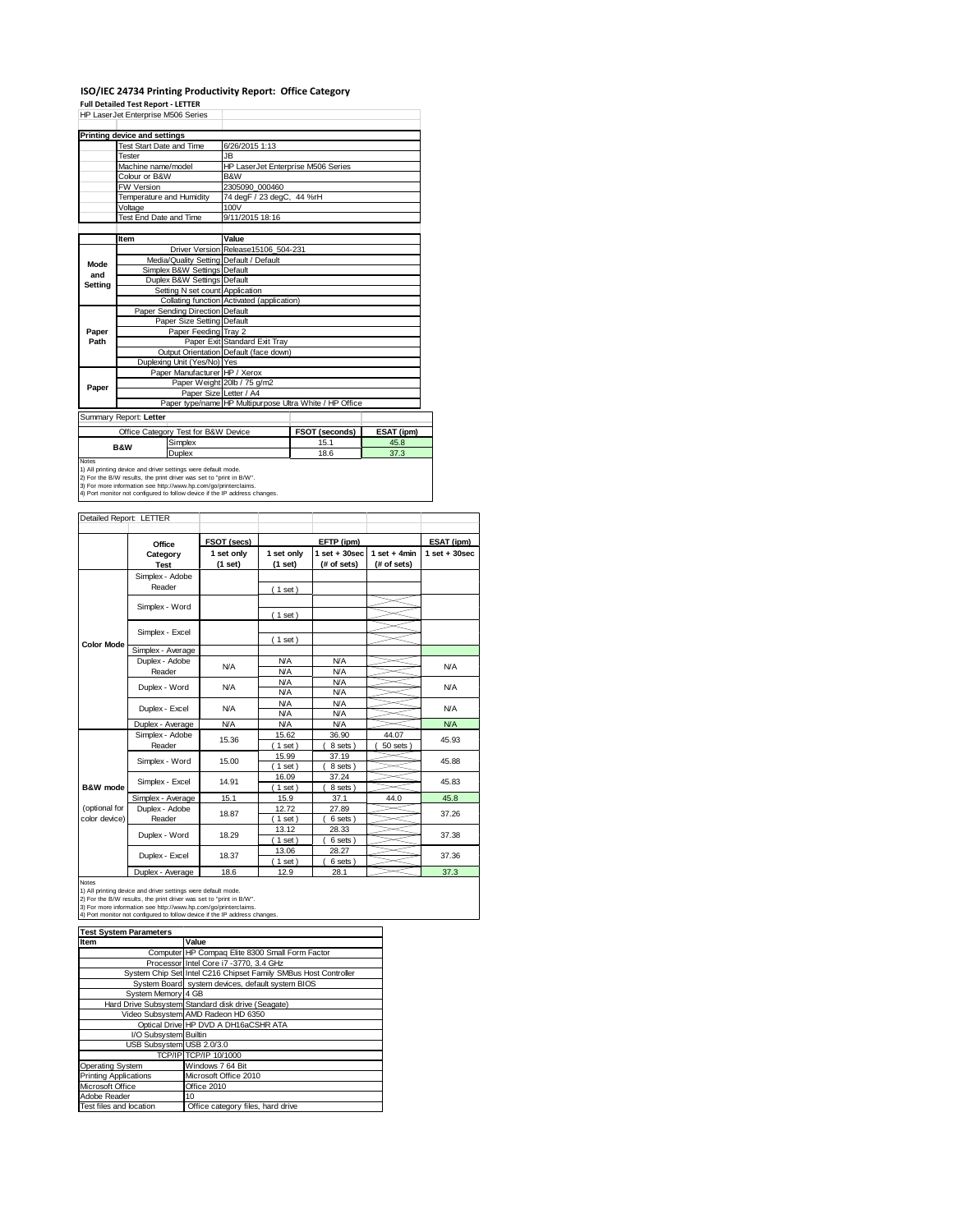#### **ISO/IEC 24734 Printing Productivity Report: Office Category Full Detailed Test Report ‐ LETTER**

|              | HP LaserJet Enterprise M506 Series                                                                                                   |                                            |                                                         |            |  |
|--------------|--------------------------------------------------------------------------------------------------------------------------------------|--------------------------------------------|---------------------------------------------------------|------------|--|
|              | Printing device and settings                                                                                                         |                                            |                                                         |            |  |
|              | <b>Test Start Date and Time</b>                                                                                                      | 6/26/2015 1:13                             |                                                         |            |  |
|              | Tester                                                                                                                               | <b>JB</b>                                  |                                                         |            |  |
|              | Machine name/model                                                                                                                   | HP LaserJet Enterprise M506 Series         |                                                         |            |  |
|              | Colour or B&W<br>B&W                                                                                                                 |                                            |                                                         |            |  |
|              | <b>FW Version</b>                                                                                                                    | 2305090 000460                             |                                                         |            |  |
|              | Temperature and Humidity                                                                                                             | 74 degF / 23 degC, 44 %rH                  |                                                         |            |  |
|              | Voltage                                                                                                                              | 100V                                       |                                                         |            |  |
|              | Test End Date and Time                                                                                                               | 9/11/2015 18:16                            |                                                         |            |  |
|              |                                                                                                                                      |                                            |                                                         |            |  |
|              | Item                                                                                                                                 | Value                                      |                                                         |            |  |
|              |                                                                                                                                      | Driver Version Release15106 504-231        |                                                         |            |  |
| Mode         | Media/Quality Setting Default / Default                                                                                              |                                            |                                                         |            |  |
| and          | Simplex B&W Settings Default                                                                                                         |                                            |                                                         |            |  |
| Setting      | Duplex B&W Settings Default                                                                                                          |                                            |                                                         |            |  |
|              | Setting N set count Application                                                                                                      |                                            |                                                         |            |  |
|              |                                                                                                                                      | Collating function Activated (application) |                                                         |            |  |
|              | Paper Sending Direction Default                                                                                                      |                                            |                                                         |            |  |
|              | Paper Size Setting Default                                                                                                           |                                            |                                                         |            |  |
| Paper        | Paper Feeding Tray 2                                                                                                                 |                                            |                                                         |            |  |
| Path         |                                                                                                                                      | Paper Exit Standard Exit Tray              |                                                         |            |  |
|              |                                                                                                                                      | Output Orientation Default (face down)     |                                                         |            |  |
|              | Duplexing Unit (Yes/No) Yes                                                                                                          |                                            |                                                         |            |  |
|              | Paper Manufacturer HP / Xerox                                                                                                        |                                            |                                                         |            |  |
| Paper        |                                                                                                                                      | Paper Weight 20lb / 75 g/m2                |                                                         |            |  |
|              | Paper Size Letter / A4                                                                                                               |                                            |                                                         |            |  |
|              |                                                                                                                                      |                                            | Paper type/name HP Multipurpose Ultra White / HP Office |            |  |
|              | Summary Report: Letter                                                                                                               |                                            |                                                         |            |  |
|              | Office Category Test for B&W Device                                                                                                  |                                            | FSOT (seconds)                                          | ESAT (ipm) |  |
|              | Simplex<br><b>B&amp;W</b>                                                                                                            |                                            | 15.1                                                    | 45.8       |  |
|              | Duplex                                                                                                                               |                                            | 18.6                                                    | 37.3       |  |
| <b>Notes</b> |                                                                                                                                      |                                            |                                                         |            |  |
|              | 1) All printing device and driver settings were default mode.<br>2) For the B/W results, the print driver was set to "print in B/W". |                                            |                                                         |            |  |
|              | 3) For more information see http://www.hp.com/go/printerclaims.                                                                      |                                            |                                                         |            |  |
|              | 4) Port monitor not configured to follow device if the IP address changes.                                                           |                                            |                                                         |            |  |

| Detailed Report: LETTER        |                           |                       |                          |                                 |                               |                   |
|--------------------------------|---------------------------|-----------------------|--------------------------|---------------------------------|-------------------------------|-------------------|
|                                | Office                    | FSOT (secs)           |                          | EFTP (ipm)                      |                               | ESAT (ipm)        |
|                                | Category<br><b>Test</b>   | 1 set only<br>(1 set) | 1 set only<br>(1 set)    | $1 set + 30 sec$<br>(# of sets) | $1$ set + 4min<br>(# of sets) | $1$ set $+30$ sec |
|                                | Simplex - Adobe<br>Reader |                       | (1 set)                  |                                 |                               |                   |
|                                | Simplex - Word            |                       | (1 set)                  |                                 |                               |                   |
|                                | Simplex - Excel           |                       | (1 set)                  |                                 |                               |                   |
| <b>Color Mode</b>              | Simplex - Average         |                       |                          |                                 |                               |                   |
|                                | Duplex - Adobe<br>Reader  | N/A                   | <b>N/A</b><br><b>N/A</b> | <b>N/A</b><br><b>N/A</b>        |                               | <b>N/A</b>        |
|                                | Duplex - Word             | <b>N/A</b>            | <b>N/A</b><br><b>N/A</b> | <b>N/A</b><br><b>N/A</b>        |                               | <b>N/A</b>        |
|                                | Duplex - Excel            | N/A                   | <b>N/A</b><br><b>N/A</b> | <b>N/A</b><br><b>N/A</b>        |                               | <b>N/A</b>        |
|                                | Duplex - Average          | <b>N/A</b>            | <b>N/A</b>               | <b>N/A</b>                      |                               | NA                |
|                                | Simplex - Adobe<br>Reader | 15.36                 | 15.62<br>$1$ set)        | 36.90<br>8 sets)                | 44.07<br>50 sets              | 45.93             |
|                                | Simplex - Word            | 15.00                 | 15.99<br>$1$ set)        | 37.19<br>8 sets)                |                               | 45.88             |
| B&W mode                       | Simplex - Excel           | 14.91                 | 16.09<br>$1$ set)        | 37.24<br>8 sets                 |                               | 45.83             |
|                                | Simplex - Average         | 15.1                  | 15.9                     | 37.1                            | 44.0                          | 45.8              |
| (optional for<br>color device) | Duplex - Adobe<br>Reader  | 18.87                 | 12.72<br>$1$ set)        | 27.89<br>6 sets)                |                               | 37.26             |
|                                | Duplex - Word             | 18.29                 | 13.12<br>$1$ set)        | 28.33<br>6 sets)                |                               | 37.38             |
|                                | Duplex - Excel            | 18.37                 | 13.06<br>$1$ set)        | 28.27<br>6 sets)                |                               | 37.36             |
|                                | Doubless Association      | 40c                   | $\overline{a}$           | 00A                             |                               | 272               |

Notes<br>
1) All printing device and driver settings were default mode.<br>
1) All printing device and driver settings were default mode.<br>
2) For the B/W results, the print driver was set to "print in B/W".<br>
3) For more inform

| <b>Test System Parameters</b> |                                                                 |  |  |  |
|-------------------------------|-----------------------------------------------------------------|--|--|--|
| Item                          | Value                                                           |  |  |  |
|                               | Computer HP Compaq Elite 8300 Small Form Factor                 |  |  |  |
|                               | Processor Intel Core i7 -3770, 3.4 GHz                          |  |  |  |
|                               | System Chip Set Intel C216 Chipset Family SMBus Host Controller |  |  |  |
|                               | System Board system devices, default system BIOS                |  |  |  |
| System Memory 4 GB            |                                                                 |  |  |  |
|                               | Hard Drive Subsystem Standard disk drive (Seagate)              |  |  |  |
|                               | Video Subsystem AMD Radeon HD 6350                              |  |  |  |
|                               | Optical Drive HP DVD A DH16aCSHR ATA                            |  |  |  |
| I/O Subsystem Builtin         |                                                                 |  |  |  |
| USB Subsystem USB 2.0/3.0     |                                                                 |  |  |  |
|                               | TCP/IP TCP/IP 10/1000                                           |  |  |  |
| Operating System              | Windows 7 64 Bit                                                |  |  |  |
| <b>Printing Applications</b>  | Microsoft Office 2010                                           |  |  |  |
| Microsoft Office              | Office 2010                                                     |  |  |  |
| Adobe Reader                  | 10                                                              |  |  |  |
| Test files and location       | Office category files, hard drive                               |  |  |  |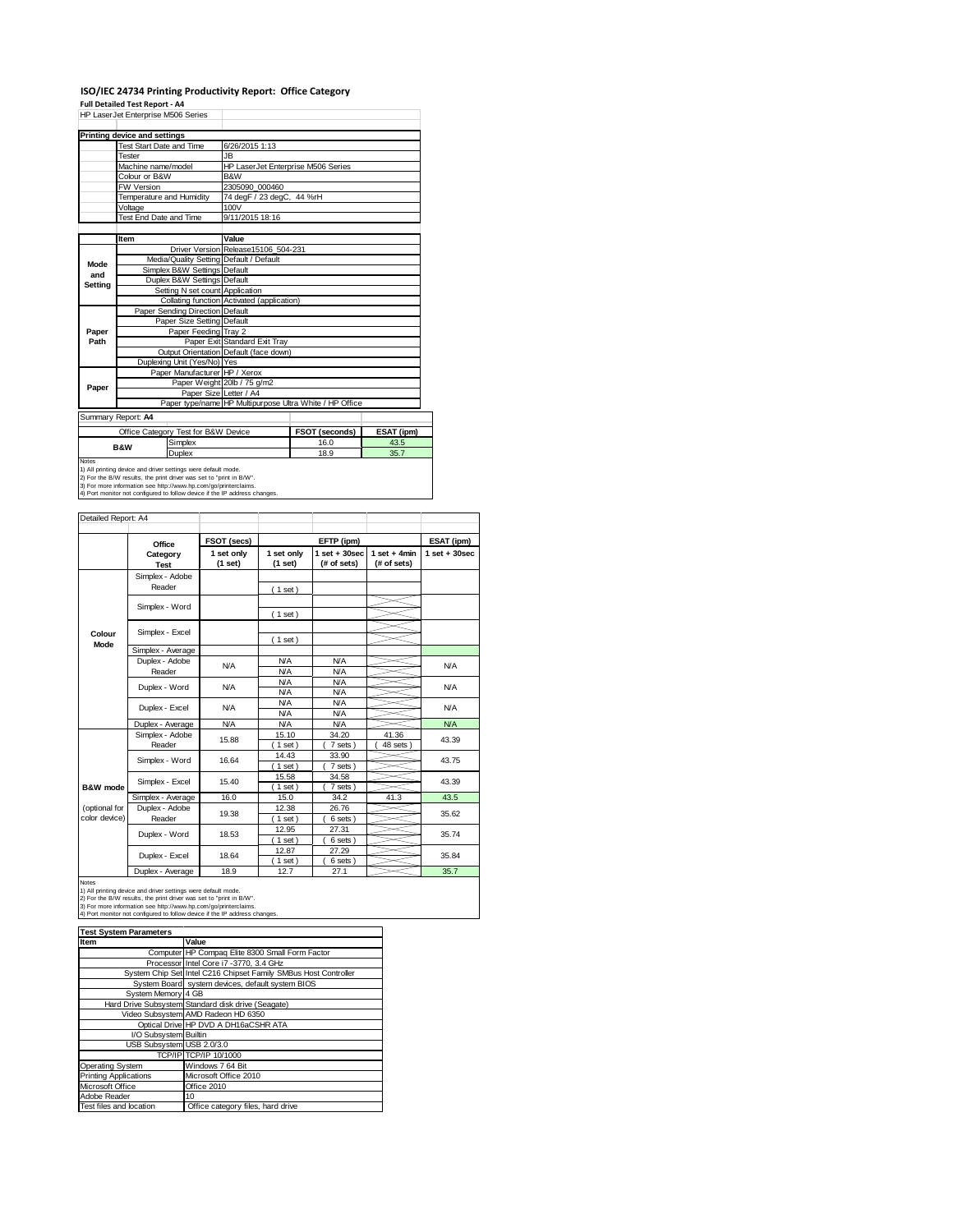#### **ISO/IEC 24734 Printing Productivity Report: Office Category Full Detailed Test Report ‐ A4**

|         | HP LaserJet Enterprise M506 Series  |                                     |                                            |                                                         |            |  |
|---------|-------------------------------------|-------------------------------------|--------------------------------------------|---------------------------------------------------------|------------|--|
|         | <b>Printing device and settings</b> |                                     |                                            |                                                         |            |  |
|         | <b>Test Start Date and Time</b>     |                                     | 6/26/2015 1:13                             |                                                         |            |  |
|         | Tester                              |                                     | JB.                                        |                                                         |            |  |
|         | Machine name/model                  |                                     | HP LaserJet Enterprise M506 Series         |                                                         |            |  |
|         | Colour or B&W                       |                                     | B&W                                        |                                                         |            |  |
|         | <b>FW Version</b>                   |                                     | 2305090 000460                             |                                                         |            |  |
|         | Temperature and Humidity            |                                     | 74 degF / 23 degC, 44 %rH                  |                                                         |            |  |
|         | Voltage                             |                                     | 100V                                       |                                                         |            |  |
|         | <b>Test End Date and Time</b>       |                                     | 9/11/2015 18:16                            |                                                         |            |  |
|         |                                     |                                     |                                            |                                                         |            |  |
|         | Item                                |                                     | Value                                      |                                                         |            |  |
|         |                                     |                                     | Driver Version Release15106 504-231        |                                                         |            |  |
| Mode    |                                     |                                     | Media/Quality Setting Default / Default    |                                                         |            |  |
| and     |                                     | Simplex B&W Settings Default        |                                            |                                                         |            |  |
| Setting |                                     | Duplex B&W Settings Default         |                                            |                                                         |            |  |
|         |                                     | Setting N set count Application     |                                            |                                                         |            |  |
|         |                                     |                                     | Collating function Activated (application) |                                                         |            |  |
|         |                                     | Paper Sending Direction Default     |                                            |                                                         |            |  |
|         |                                     | Paper Size Setting Default          |                                            |                                                         |            |  |
| Paper   |                                     | Paper Feeding Tray 2                |                                            |                                                         |            |  |
| Path    |                                     |                                     | Paper Exit Standard Exit Tray              |                                                         |            |  |
|         |                                     |                                     | Output Orientation Default (face down)     |                                                         |            |  |
|         |                                     | Duplexing Unit (Yes/No) Yes         |                                            |                                                         |            |  |
|         |                                     | Paper Manufacturer HP / Xerox       |                                            |                                                         |            |  |
| Paper   |                                     |                                     | Paper Weight 20lb / 75 g/m2                |                                                         |            |  |
|         |                                     |                                     | Paper Size Letter / A4                     |                                                         |            |  |
|         |                                     |                                     |                                            | Paper type/name HP Multipurpose Ultra White / HP Office |            |  |
|         | Summary Report: A4                  |                                     |                                            |                                                         |            |  |
|         |                                     | Office Category Test for B&W Device |                                            | FSOT (seconds)                                          | ESAT (ipm) |  |
|         | <b>B&amp;W</b>                      | Simplex                             |                                            | 16.0                                                    | 43.5       |  |
|         |                                     | <b>Duplex</b>                       |                                            | 18.9                                                    | 35.7       |  |
| Notes   |                                     |                                     |                                            |                                                         |            |  |

Notes<br>1) All printing device and driver settings were default mode.<br>2) For the B/W results, the print driver was set to "print in B/W".<br>3) For more information see http://www.hp.com/go/printerclaims.<br>4) Port monitor not co

|               | Office                  | FSOT (secs)           |                       | EFTP (ipm)                       |                               | ESAT (ipm)       |       |
|---------------|-------------------------|-----------------------|-----------------------|----------------------------------|-------------------------------|------------------|-------|
|               | Category<br><b>Test</b> | 1 set only<br>(1 set) | 1 set only<br>(1 set) | $1$ set $+30$ sec<br>(# of sets) | $1$ set + 4min<br>(# of sets) | $1 set + 30 sec$ |       |
|               | Simplex - Adobe         |                       |                       |                                  |                               |                  |       |
|               | Reader                  |                       | (1 set)               |                                  |                               |                  |       |
|               |                         |                       |                       |                                  |                               |                  |       |
|               | Simplex - Word          |                       | (1 set)               |                                  |                               |                  |       |
|               |                         |                       |                       |                                  |                               |                  |       |
| Colour        | Simplex - Excel         |                       | (1 set)               |                                  |                               |                  |       |
| Mode          | Simplex - Average       |                       |                       |                                  |                               |                  |       |
|               | Duplex - Adobe          | N/A                   | <b>N/A</b>            | <b>N/A</b>                       |                               | <b>N/A</b>       |       |
|               | Reader                  |                       | <b>N/A</b>            | <b>N/A</b>                       |                               |                  |       |
|               | Duplex - Word           | <b>N/A</b>            | <b>N/A</b>            | <b>N/A</b>                       |                               | <b>N/A</b>       |       |
|               |                         |                       | <b>N/A</b>            | <b>N/A</b>                       |                               |                  |       |
|               | Duplex - Excel          | N/A                   | <b>N/A</b>            | <b>N/A</b>                       |                               | N/A              |       |
|               |                         |                       | <b>N/A</b>            | <b>N/A</b>                       |                               |                  |       |
|               | Duplex - Average        | <b>N/A</b>            | <b>N/A</b>            | <b>N/A</b>                       |                               | <b>N/A</b>       |       |
|               | Simplex - Adobe         |                       | 15.88                 | 15.10                            | 34.20                         | 41.36            | 43.39 |
|               | Reader                  |                       | $1$ set)              | 7 sets                           | 48 sets                       |                  |       |
|               | Simplex - Word          | 16.64                 | 14.43                 | 33.90                            |                               | 43.75            |       |
|               |                         |                       | $1$ set)              | 7 sets                           |                               |                  |       |
|               | Simplex - Excel         | 15.40                 | 15.58                 | 34.58                            |                               | 43.39            |       |
| B&W mode      |                         |                       | $1$ set)              | 7 sets)                          |                               |                  |       |
|               | Simplex - Average       | 16.0                  | 15.0                  | 34.2                             | 41.3                          | 43.5             |       |
| (optional for | Duplex - Adobe          | 19.38                 | 12.38                 | 26.76                            |                               | 35.62            |       |
| color device) | Reader                  |                       | $1$ set)              | 6 sets)                          |                               |                  |       |
|               | Duplex - Word           | 18.53                 | 12.95                 | 27.31                            |                               | 35.74            |       |
|               |                         |                       | $1$ set)              | 6 sets)                          |                               |                  |       |
|               | Duplex - Excel          | 18.64                 | 12.87                 | 27.29                            |                               | 35.84            |       |
|               |                         |                       | $1$ set)              | 6 sets)                          |                               |                  |       |
|               | Duplex - Average        | 18.9                  | 12.7                  | 27.1                             |                               | 35.7             |       |

| <b>Test System Parameters</b> |                                                                 |  |  |  |
|-------------------------------|-----------------------------------------------------------------|--|--|--|
| Item                          | Value                                                           |  |  |  |
|                               | Computer HP Compaq Elite 8300 Small Form Factor                 |  |  |  |
|                               | Processor Intel Core i7 -3770, 3.4 GHz                          |  |  |  |
|                               | System Chip Set Intel C216 Chipset Family SMBus Host Controller |  |  |  |
|                               | System Board system devices, default system BIOS                |  |  |  |
| System Memory 4 GB            |                                                                 |  |  |  |
|                               | Hard Drive Subsystem Standard disk drive (Seagate)              |  |  |  |
|                               | Video Subsystem AMD Radeon HD 6350                              |  |  |  |
|                               | Optical Drive HP DVD A DH16aCSHR ATA                            |  |  |  |
| I/O Subsystem Builtin         |                                                                 |  |  |  |
| USB Subsystem USB 2.0/3.0     |                                                                 |  |  |  |
|                               | TCP/IP TCP/IP 10/1000                                           |  |  |  |
| Operating System              | Windows 7 64 Bit                                                |  |  |  |
| <b>Printing Applications</b>  | Microsoft Office 2010                                           |  |  |  |
| Microsoft Office              | Office 2010                                                     |  |  |  |
| Adobe Reader                  | 10                                                              |  |  |  |
| Test files and location       | Office category files, hard drive                               |  |  |  |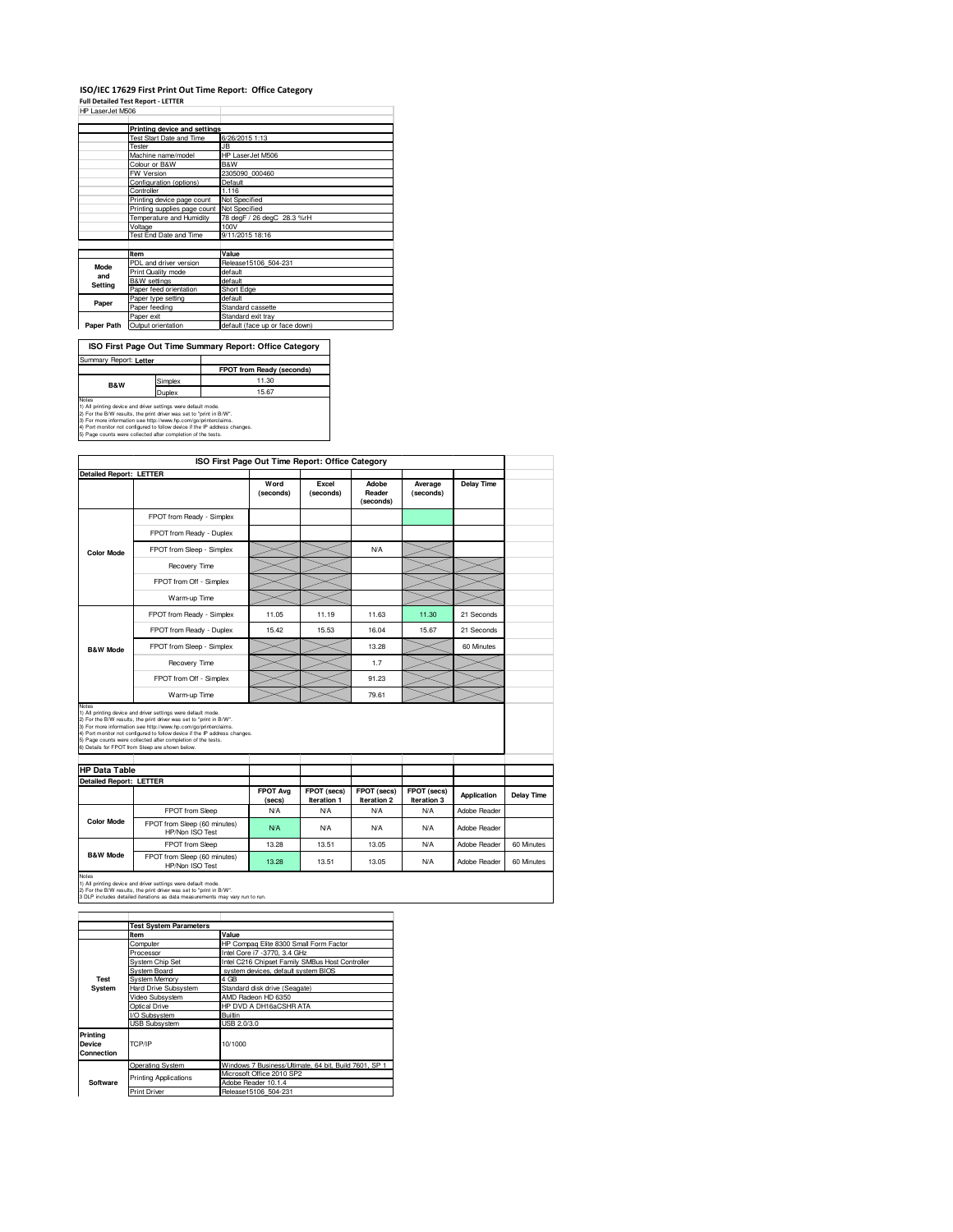### **ISO/IEC 17629 First Print Out Time Report: Office Category Full Detailed Test Report - LETTER** HP LaserJet M506

| HP LaserJet M506 |                                            |                                |
|------------------|--------------------------------------------|--------------------------------|
|                  |                                            |                                |
|                  | Printing device and settings               |                                |
|                  | <b>Test Start Date and Time</b>            | 6/26/2015 1:13                 |
|                  | Tester                                     | JB                             |
|                  | Machine name/model                         | HP LaserJet M506               |
|                  | Colour or B&W                              | <b>B&amp;W</b>                 |
|                  | FW Version                                 | 2305090 000460                 |
|                  | Configuration (options)                    | Default                        |
|                  | Controller                                 | 1.116                          |
|                  | Printing device page count                 | Not Specified                  |
|                  | Printing supplies page count Not Specified |                                |
|                  | Temperature and Humidity                   | 78 degF / 26 degC 28.3 %rH     |
|                  | Voltage                                    | 100V                           |
|                  | Test End Date and Time                     | 9/11/2015 18:16                |
|                  |                                            |                                |
|                  | Item                                       | Value                          |
| Mode             | PDL and driver version                     | Release15106 504-231           |
| and              | Print Quality mode                         | default                        |
|                  | <b>B&amp;W</b> settings                    | default                        |
| Setting          | Paper feed orientation                     | Short Edge                     |
|                  | Paper type setting                         | default                        |
| Paper            | Paper feeding                              | Standard cassette              |
|                  | Paper exit                                 | Standard exit tray             |
| Paper Path       | Output orientation                         | default (face up or face down) |
|                  |                                            |                                |

| ISO First Page Out Time Summary Report: Office Category                                                                                                                                                          |         |                           |  |  |
|------------------------------------------------------------------------------------------------------------------------------------------------------------------------------------------------------------------|---------|---------------------------|--|--|
| Summary Report: Letter                                                                                                                                                                                           |         |                           |  |  |
|                                                                                                                                                                                                                  |         | FPOT from Ready (seconds) |  |  |
| <b>B&amp;W</b>                                                                                                                                                                                                   | Simplex | 11.30                     |  |  |
| <b>Duplex</b>                                                                                                                                                                                                    |         | 15.67                     |  |  |
| Notes<br>1) All printing device and driver settings were default mode.<br>2) For the B/W results, the print driver was set to "print in B/W".<br>3) For more information see http://www.hp.com/go/printerclaims. |         |                           |  |  |

3) For more information see http://www.hp.com/go/printerclaims.<br>4) Port monitor not configured to follow device if the IP address changes.<br>5) Page counts were collected after completion of the tests.

|                                                          |                                                                                                                                                                                                                                                                                                                                                                                                          | ISO First Page Out Time Report: Office Category |                            |                                   |                            |                   |            |
|----------------------------------------------------------|----------------------------------------------------------------------------------------------------------------------------------------------------------------------------------------------------------------------------------------------------------------------------------------------------------------------------------------------------------------------------------------------------------|-------------------------------------------------|----------------------------|-----------------------------------|----------------------------|-------------------|------------|
| <b>Detailed Report: LETTER</b>                           |                                                                                                                                                                                                                                                                                                                                                                                                          | Word<br>(seconds)                               | Excel<br>(seconds)         | Adobe<br>Reader<br>(seconds)      | Average<br>(seconds)       | <b>Delay Time</b> |            |
|                                                          | FPOT from Ready - Simplex                                                                                                                                                                                                                                                                                                                                                                                |                                                 |                            |                                   |                            |                   |            |
|                                                          | FPOT from Ready - Duplex                                                                                                                                                                                                                                                                                                                                                                                 |                                                 |                            |                                   |                            |                   |            |
| <b>Color Mode</b>                                        | FPOT from Sleep - Simplex                                                                                                                                                                                                                                                                                                                                                                                |                                                 |                            | <b>N/A</b>                        |                            |                   |            |
|                                                          | Recovery Time                                                                                                                                                                                                                                                                                                                                                                                            |                                                 |                            |                                   |                            |                   |            |
|                                                          | FPOT from Off - Simplex                                                                                                                                                                                                                                                                                                                                                                                  |                                                 |                            |                                   |                            |                   |            |
|                                                          | Warm-up Time                                                                                                                                                                                                                                                                                                                                                                                             |                                                 |                            |                                   |                            |                   |            |
|                                                          | FPOT from Ready - Simplex                                                                                                                                                                                                                                                                                                                                                                                | 11.05                                           | 11.19                      | 11.63                             | 11.30                      | 21 Seconds        |            |
|                                                          | FPOT from Ready - Duplex                                                                                                                                                                                                                                                                                                                                                                                 | 15.42                                           | 15.53                      | 16.04                             | 15.67                      | 21 Seconds        |            |
| <b>B&amp;W Mode</b>                                      | FPOT from Sleep - Simplex                                                                                                                                                                                                                                                                                                                                                                                |                                                 |                            | 13.28                             |                            | 60 Minutes        |            |
|                                                          | Recovery Time                                                                                                                                                                                                                                                                                                                                                                                            |                                                 |                            | 1.7                               |                            |                   |            |
|                                                          |                                                                                                                                                                                                                                                                                                                                                                                                          |                                                 |                            |                                   |                            |                   |            |
|                                                          | FPOT from Off - Simplex                                                                                                                                                                                                                                                                                                                                                                                  |                                                 |                            | 91.23                             |                            |                   |            |
|                                                          | Warm-up Time                                                                                                                                                                                                                                                                                                                                                                                             |                                                 |                            | 79.61                             |                            |                   |            |
| Notes<br><b>HP Data Table</b><br>Detailed Report: LETTER | 1) All printing device and driver settings were default mode.<br>2) For the B/W results, the print driver was set to "print in B/W".<br>3) For more information see http://www.hp.com/go/printerclaims.<br>4) Port monitor not configured to follow device if the IP address changes.<br>5) Page counts were collected after completion of the tests.<br>6) Details for FPOT from Sleep are shown below. |                                                 |                            |                                   |                            |                   |            |
|                                                          |                                                                                                                                                                                                                                                                                                                                                                                                          | <b>FPOT Ava</b><br>(secs)                       | FPOT (secs)<br>Iteration 1 | FPOT (secs)<br><b>Iteration 2</b> | FPOT (secs)<br>Iteration 3 | Application       | Delay Time |
|                                                          | FPOT from Sleep                                                                                                                                                                                                                                                                                                                                                                                          | N/A                                             | N/A                        | N/A                               | N/A                        | Adobe Reader      |            |
| <b>Color Mode</b>                                        | FPOT from Sleep (60 minutes)<br>HP/Non ISO Test                                                                                                                                                                                                                                                                                                                                                          | N/A                                             | <b>N/A</b>                 | N/A                               | N/A                        | Adobe Reader      |            |
| <b>B&amp;W Mode</b>                                      | FPOT from Sleep                                                                                                                                                                                                                                                                                                                                                                                          | 13.28                                           | 13.51                      | 13.05                             | N/A                        | Adobe Reader      | 60 Minutes |

|                                  | <b>Test System Parameters</b> |                                                       |  |  |  |  |
|----------------------------------|-------------------------------|-------------------------------------------------------|--|--|--|--|
|                                  | Item                          | Value                                                 |  |  |  |  |
|                                  | Computer                      | HP Compag Elite 8300 Small Form Factor                |  |  |  |  |
|                                  | Processor                     | Intel Core i7 -3770, 3.4 GHz                          |  |  |  |  |
|                                  | <b>System Chip Set</b>        | Intel C216 Chipset Family SMBus Host Controller       |  |  |  |  |
| System Board                     |                               | system devices, default system BIOS                   |  |  |  |  |
| Test                             | System Memory                 | 4 GB                                                  |  |  |  |  |
| System                           | <b>Hard Drive Subsystem</b>   | Standard disk drive (Seagate)                         |  |  |  |  |
|                                  | Video Subsystem               | AMD Radeon HD 6350                                    |  |  |  |  |
|                                  | Optical Drive                 | HP DVD A DH16aCSHR ATA                                |  |  |  |  |
|                                  | I/O Subsystem                 | <b>Builtin</b>                                        |  |  |  |  |
|                                  | <b>USB Subsystem</b>          | USB 2.0/3.0                                           |  |  |  |  |
| Printing<br>Device<br>Connection | TCP/IP                        | 10/1000                                               |  |  |  |  |
|                                  | <b>Operating System</b>       | Windows 7 Business/Ultimate, 64 bit, Build 7601, SP 1 |  |  |  |  |
|                                  | <b>Printing Applications</b>  | Microsoft Office 2010 SP2                             |  |  |  |  |
| Software                         |                               | Adobe Reader 10.1.4                                   |  |  |  |  |
|                                  | <b>Print Driver</b>           | Release15106 504-231                                  |  |  |  |  |